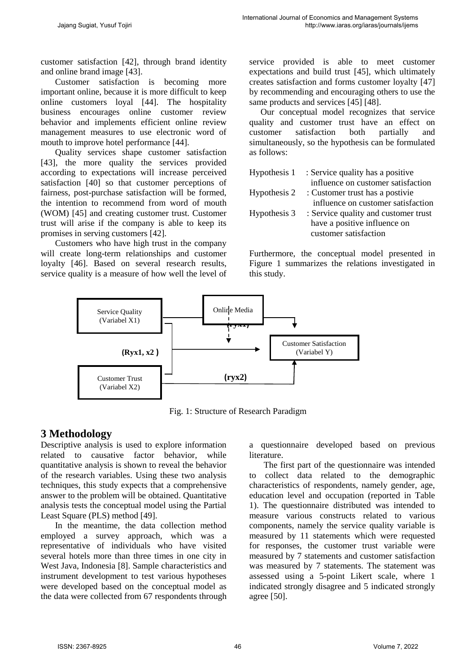customer satisfaction [42], through brand identity and online brand image [43].

Customer satisfaction is becoming more important online, because it is more difficult to keep online customers loyal [44]. The hospitality business encourages online customer review behavior and implements efficient online review management measures to use electronic word of mouth to improve hotel performance [44].

Quality services shape customer satisfaction [43], the more quality the services provided according to expectations will increase perceived satisfaction [40] so that customer perceptions of fairness, post-purchase satisfaction will be formed, the intention to recommend from word of mouth (WOM) [45] and creating customer trust. Customer trust will arise if the company is able to keep its promises in serving customers [42].

Customers who have high trust in the company will create long-term relationships and customer loyalty [46]. Based on several research results, service quality is a measure of how well the level of service provided is able to meet customer expectations and build trust [45], which ultimately creates satisfaction and forms customer loyalty [47] by recommending and encouraging others to use the same products and services [45] [48].

Our conceptual model recognizes that service quality and customer trust have an effect on customer satisfaction both partially and simultaneously, so the hypothesis can be formulated as follows:

| Hypothesis 1 | : Service quality has a positive     |
|--------------|--------------------------------------|
|              | influence on customer satisfaction   |
| Hypothesis 2 | : Customer trust has a postivie      |
|              | influence on customer satisfaction   |
| Hypothesis 3 | : Service quality and customer trust |
|              | have a positive influence on         |
|              | customer satisfaction                |

Furthermore, the conceptual model presented in Figure 1 summarizes the relations investigated in this study.



Fig. 1: Structure of Research Paradigm

# **3 Methodology**

Descriptive analysis is used to explore information related to causative factor behavior, while quantitative analysis is shown to reveal the behavior of the research variables. Using these two analysis techniques, this study expects that a comprehensive answer to the problem will be obtained. Quantitative analysis tests the conceptual model using the Partial Least Square (PLS) method [49].

In the meantime, the data collection method employed a survey approach, which was a representative of individuals who have visited several hotels more than three times in one city in West Java, Indonesia [8]. Sample characteristics and instrument development to test various hypotheses were developed based on the conceptual model as the data were collected from 67 respondents through a questionnaire developed based on previous literature.

The first part of the questionnaire was intended to collect data related to the demographic characteristics of respondents, namely gender, age, education level and occupation (reported in Table 1). The questionnaire distributed was intended to measure various constructs related to various components, namely the service quality variable is measured by 11 statements which were requested for responses, the customer trust variable were measured by 7 statements and customer satisfaction was measured by 7 statements. The statement was assessed using a 5-point Likert scale, where 1 indicated strongly disagree and 5 indicated strongly agree [50].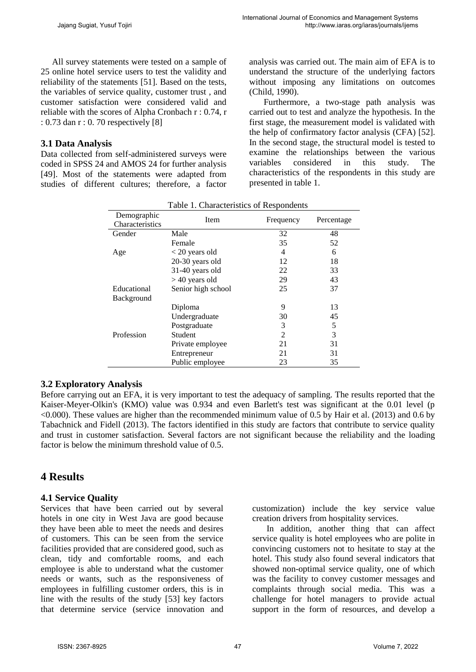All survey statements were tested on a sample of 25 online hotel service users to test the validity and reliability of the statements [51]. Based on the tests, the variables of service quality, customer trust , and customer satisfaction were considered valid and reliable with the scores of Alpha Cronbach r : 0.74, r : 0.73 dan r : 0. 70 respectively [8]

## **3.1 Data Analysis**

Data collected from self-administered surveys were coded in SPSS 24 and AMOS 24 for further analysis [49]. Most of the statements were adapted from studies of different cultures; therefore, a factor

analysis was carried out. The main aim of EFA is to understand the structure of the underlying factors without imposing any limitations on outcomes (Child, 1990).

Furthermore, a two-stage path analysis was carried out to test and analyze the hypothesis. In the first stage, the measurement model is validated with the help of confirmatory factor analysis (CFA) [52]. In the second stage, the structural model is tested to examine the relationships between the various variables considered in this study. The characteristics of the respondents in this study are presented in table 1.

| Demographic<br>Characteristics | Item               | Frequency      | Percentage |
|--------------------------------|--------------------|----------------|------------|
| Gender                         | Male               | 32             | 48         |
|                                | Female             | 35             | 52         |
| Age                            | $<$ 20 years old   | 4              | 6          |
|                                | 20-30 years old    | 12             | 18         |
|                                | 31-40 years old    | 22             | 33         |
|                                | $>40$ years old    | 29             | 43         |
| Educational                    | Senior high school | 25             | 37         |
| <b>Background</b>              |                    |                |            |
|                                | Diploma            | 9              | 13         |
|                                | Undergraduate      | 30             | 45         |
|                                | Postgraduate       | 3              | 5          |
| Profession                     | <b>Student</b>     | $\mathfrak{D}$ | 3          |
|                                | Private employee   | 21             | 31         |
|                                | Entrepreneur       | 21             | 31         |
|                                | Public employee    | 23             | 35         |

| Table 1. Characteristics of Respondents |  |  |  |
|-----------------------------------------|--|--|--|
|-----------------------------------------|--|--|--|

## **3.2 Exploratory Analysis**

Before carrying out an EFA, it is very important to test the adequacy of sampling. The results reported that the Kaiser-Meyer-Olkin's (KMO) value was 0.934 and even Barlett's test was significant at the 0.01 level (p <0.000). These values are higher than the recommended minimum value of 0.5 by Hair et al. (2013) and 0.6 by Tabachnick and Fidell (2013). The factors identified in this study are factors that contribute to service quality and trust in customer satisfaction. Several factors are not significant because the reliability and the loading factor is below the minimum threshold value of 0.5.

# **4 Results**

## **4.1 Service Quality**

Services that have been carried out by several hotels in one city in West Java are good because they have been able to meet the needs and desires of customers. This can be seen from the service facilities provided that are considered good, such as clean, tidy and comfortable rooms, and each employee is able to understand what the customer needs or wants, such as the responsiveness of employees in fulfilling customer orders, this is in line with the results of the study [53] key factors that determine service (service innovation and

customization) include the key service value creation drivers from hospitality services.

In addition, another thing that can affect service quality is hotel employees who are polite in convincing customers not to hesitate to stay at the hotel. This study also found several indicators that showed non-optimal service quality, one of which was the facility to convey customer messages and complaints through social media. This was a challenge for hotel managers to provide actual support in the form of resources, and develop a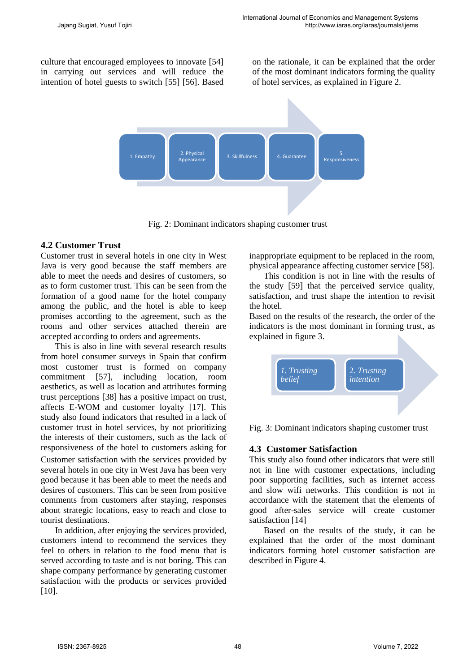culture that encouraged employees to innovate [54] in carrying out services and will reduce the intention of hotel guests to switch [55] [56]. Based on the rationale, it can be explained that the order of the most dominant indicators forming the quality of hotel services, as explained in Figure 2.



Fig. 2: Dominant indicators shaping customer trust

#### **4.2 Customer Trust**

Customer trust in several hotels in one city in West Java is very good because the staff members are able to meet the needs and desires of customers, so as to form customer trust. This can be seen from the formation of a good name for the hotel company among the public, and the hotel is able to keep promises according to the agreement, such as the rooms and other services attached therein are accepted according to orders and agreements.

This is also in line with several research results from hotel consumer surveys in Spain that confirm most customer trust is formed on company commitment [57], including location, room aesthetics, as well as location and attributes forming trust perceptions [38] has a positive impact on trust, affects E-WOM and customer loyalty [17]. This study also found indicators that resulted in a lack of customer trust in hotel services, by not prioritizing the interests of their customers, such as the lack of responsiveness of the hotel to customers asking for Customer satisfaction with the services provided by several hotels in one city in West Java has been very good because it has been able to meet the needs and desires of customers. This can be seen from positive

comments from customers after staying, responses about strategic locations, easy to reach and close to tourist destinations.

In addition, after enjoying the services provided, customers intend to recommend the services they feel to others in relation to the food menu that is served according to taste and is not boring. This can shape company performance by generating customer satisfaction with the products or services provided [10].

inappropriate equipment to be replaced in the room, physical appearance affecting customer service [58].

This condition is not in line with the results of the study [59] that the perceived service quality, satisfaction, and trust shape the intention to revisit the hotel.

Based on the results of the research, the order of the indicators is the most dominant in forming trust, as explained in figure 3.



Fig. 3: Dominant indicators shaping customer trust

#### **4.3 Customer Satisfaction**

This study also found other indicators that were still not in line with customer expectations, including poor supporting facilities, such as internet access and slow wifi networks. This condition is not in accordance with the statement that the elements of good after-sales service will create customer satisfaction [14]

Based on the results of the study, it can be explained that the order of the most dominant indicators forming hotel customer satisfaction are described in Figure 4.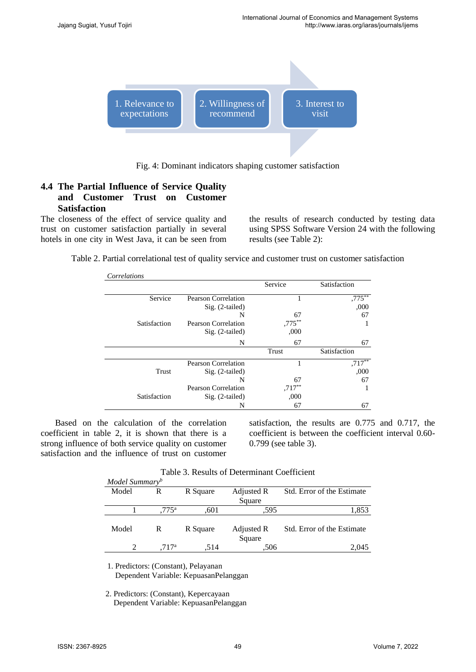

Fig. 4: Dominant indicators shaping customer satisfaction

## **4.4 The Partial Influence of Service Quality and Customer Trust on Customer Satisfaction**

The closeness of the effect of service quality and trust on customer satisfaction partially in several hotels in one city in West Java, it can be seen from the results of research conducted by testing data using SPSS Software Version 24 with the following results (see Table 2):

Table 2. Partial correlational test of quality service and customer trust on customer satisfaction

| Correlations |                            |           |              |
|--------------|----------------------------|-----------|--------------|
|              |                            | Service   | Satisfaction |
| Service      | <b>Pearson Correlation</b> | 1         | $,775***$    |
|              | $Sig. (2-tailed)$          |           | ,000         |
|              | N                          | 67        | 67           |
| Satisfaction | <b>Pearson Correlation</b> | $,775***$ |              |
|              | $Sig. (2-tailed)$          | ,000      |              |
|              | N                          | 67        | 67           |
|              |                            | Trust     | Satisfaction |
|              | <b>Pearson Correlation</b> |           | $,717***$    |
| Trust        | $Sig. (2-tailed)$          |           | ,000         |
|              | N                          | 67        | 67           |
|              | <b>Pearson Correlation</b> | $,717***$ |              |
| Satisfaction | $Sig. (2-tailed)$          | ,000      |              |
|              | N                          | 67        | 67           |

Based on the calculation of the correlation coefficient in table 2, it is shown that there is a strong influence of both service quality on customer satisfaction and the influence of trust on customer

satisfaction, the results are 0.775 and 0.717, the coefficient is between the coefficient interval 0.60- 0.799 (see table 3).

| Model Summary <sup>b</sup> |                   |          | 1 0010 ST 10000100 OF D 0001111110110 COUITIVIUM |                            |
|----------------------------|-------------------|----------|--------------------------------------------------|----------------------------|
| Model                      | R                 | R Square | Adjusted R<br>Square                             | Std. Error of the Estimate |
|                            | $.775^{\rm a}$    | .601     | .595                                             | 1,853                      |
| Model                      | R                 | R Square | Adjusted R<br>Square                             | Std. Error of the Estimate |
|                            | .717 <sup>a</sup> | .514     | .506                                             | 2.045                      |

Table 3. Results of Determinant Coefficient

1. Predictors: (Constant), Pelayanan Dependent Variable: KepuasanPelanggan

2. Predictors: (Constant), Kepercayaan Dependent Variable: KepuasanPelanggan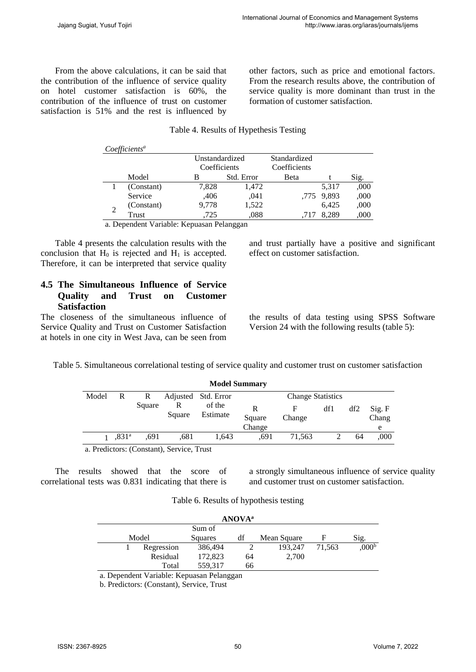From the above calculations, it can be said that the contribution of the influence of service quality on hotel customer satisfaction is 60%, the contribution of the influence of trust on customer satisfaction is 51% and the rest is influenced by

other factors, such as price and emotional factors. From the research results above, the contribution of service quality is more dominant than trust in the formation of customer satisfaction.

## Table 4. Results of Hypethesis Testing

| Coefficients <sup>a</sup> |              |                |              |            |      |
|---------------------------|--------------|----------------|--------------|------------|------|
|                           |              | Unstandardized | Standardized |            |      |
|                           | Coefficients |                | Coefficients |            |      |
| Model                     | в            | Std. Error     | Beta         |            | Sig. |
| (Constant)                | 7,828        | 1,472          |              | 5,317      | ,000 |
| Service                   | ,406         | .041           |              | ,775 9,893 | ,000 |
| (Constant)                | 9,778        | 1,522          |              | 6.425      | ,000 |
| Trust                     | .725         | .088           | .717         | 8.289      | ,000 |

a. Dependent Variable: Kepuasan Pelanggan

Table 4 presents the calculation results with the conclusion that  $H_0$  is rejected and  $H_1$  is accepted. Therefore, it can be interpreted that service quality

#### **4.5 The Simultaneous Influence of Service Quality and Trust on Customer Satisfaction**

The closeness of the simultaneous influence of Service Quality and Trust on Customer Satisfaction at hotels in one city in West Java, can be seen from and trust partially have a positive and significant effect on customer satisfaction.

the results of data testing using SPSS Software Version 24 with the following results (table 5):

Table 5. Simultaneous correlational testing of service quality and customer trust on customer satisfaction

|       | <b>Model Summary</b> |        |                                           |                     |                       |                          |     |     |                      |
|-------|----------------------|--------|-------------------------------------------|---------------------|-----------------------|--------------------------|-----|-----|----------------------|
| Model | R                    | R      |                                           | Adjusted Std. Error |                       | <b>Change Statistics</b> |     |     |                      |
|       |                      | Square | R<br>Square                               | of the<br>Estimate  | R<br>Square<br>Change | F<br>Change              | df1 | df2 | Sig. F<br>Chang<br>e |
|       | .831 <sup>a</sup>    | .691   | .681                                      | 1.643               | .691                  | 71,563                   |     | 64  | .000                 |
|       |                      |        | a. Predictors: (Constant), Service, Trust |                     |                       |                          |     |     |                      |

The results showed that the score of correlational tests was 0.831 indicating that there is

a strongly simultaneous influence of service quality and customer trust on customer satisfaction.

Table 6. Results of hypothesis testing

| <b>ANOVA</b> <sup>a</sup> |            |         |    |             |        |            |  |  |
|---------------------------|------------|---------|----|-------------|--------|------------|--|--|
|                           | Sum of     |         |    |             |        |            |  |  |
|                           | Model      |         | df | Mean Square | F      | Sig.       |  |  |
|                           | Regression | 386,494 |    | 193.247     | 71.563 | $0.00^{b}$ |  |  |
|                           | Residual   | 172,823 | 64 | 2,700       |        |            |  |  |
|                           | Total      | 559,317 | 66 |             |        |            |  |  |

a. Dependent Variable: Kepuasan Pelanggan

b. Predictors: (Constant), Service, Trust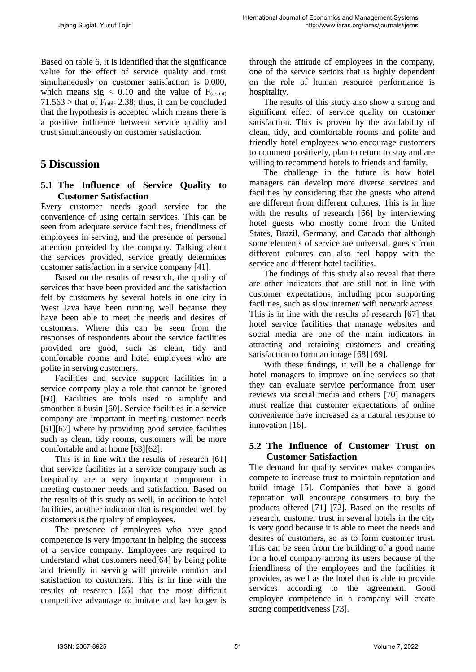Based on table 6, it is identified that the significance value for the effect of service quality and trust simultaneously on customer satisfaction is 0.000, which means sig  $< 0.10$  and the value of  $F_{(count)}$  $71.563$  > that of  $F_{table}$  2.38; thus, it can be concluded that the hypothesis is accepted which means there is a positive influence between service quality and trust simultaneously on customer satisfaction.

# **5 Discussion**

## **5.1 The Influence of Service Quality to Customer Satisfaction**

Every customer needs good service for the convenience of using certain services. This can be seen from adequate service facilities, friendliness of employees in serving, and the presence of personal attention provided by the company. Talking about the services provided, service greatly determines customer satisfaction in a service company [41].

Based on the results of research, the quality of services that have been provided and the satisfaction felt by customers by several hotels in one city in West Java have been running well because they have been able to meet the needs and desires of customers. Where this can be seen from the responses of respondents about the service facilities provided are good, such as clean, tidy and comfortable rooms and hotel employees who are polite in serving customers.

Facilities and service support facilities in a service company play a role that cannot be ignored [60]. Facilities are tools used to simplify and smoothen a busin [60]. Service facilities in a service company are important in meeting customer needs [61][62] where by providing good service facilities such as clean, tidy rooms, customers will be more comfortable and at home [63][62].

This is in line with the results of research [61] that service facilities in a service company such as hospitality are a very important component in meeting customer needs and satisfaction. Based on the results of this study as well, in addition to hotel facilities, another indicator that is responded well by customers is the quality of employees.

The presence of employees who have good competence is very important in helping the success of a service company. Employees are required to understand what customers need[64] by being polite and friendly in serving will provide comfort and satisfaction to customers. This is in line with the results of research [65] that the most difficult competitive advantage to imitate and last longer is

through the attitude of employees in the company, one of the service sectors that is highly dependent on the role of human resource performance is hospitality.

The results of this study also show a strong and significant effect of service quality on customer satisfaction. This is proven by the availability of clean, tidy, and comfortable rooms and polite and friendly hotel employees who encourage customers to comment positively, plan to return to stay and are willing to recommend hotels to friends and family.

The challenge in the future is how hotel managers can develop more diverse services and facilities by considering that the guests who attend are different from different cultures. This is in line with the results of research [66] by interviewing hotel guests who mostly come from the United States, Brazil, Germany, and Canada that although some elements of service are universal, guests from different cultures can also feel happy with the service and different hotel facilities.

The findings of this study also reveal that there are other indicators that are still not in line with customer expectations, including poor supporting facilities, such as slow internet/ wifi network access. This is in line with the results of research [67] that hotel service facilities that manage websites and social media are one of the main indicators in attracting and retaining customers and creating satisfaction to form an image [68] [69].

With these findings, it will be a challenge for hotel managers to improve online services so that they can evaluate service performance from user reviews via social media and others [70] managers must realize that customer expectations of online convenience have increased as a natural response to innovation [16].

## **5.2 The Influence of Customer Trust on Customer Satisfaction**

The demand for quality services makes companies compete to increase trust to maintain reputation and build image [5]. Companies that have a good reputation will encourage consumers to buy the products offered [71] [72]. Based on the results of research, customer trust in several hotels in the city is very good because it is able to meet the needs and desires of customers, so as to form customer trust. This can be seen from the building of a good name for a hotel company among its users because of the friendliness of the employees and the facilities it provides, as well as the hotel that is able to provide services according to the agreement. Good employee competence in a company will create strong competitiveness [73].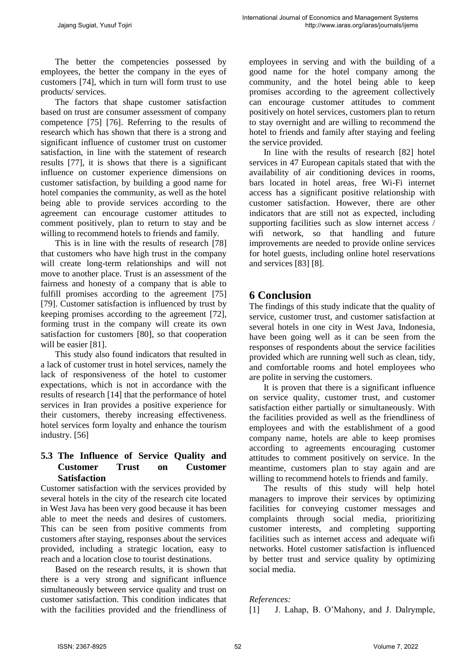The better the competencies possessed by employees, the better the company in the eyes of customers [74], which in turn will form trust to use products/ services.

The factors that shape customer satisfaction based on trust are consumer assessment of company competence [75] [76]. Referring to the results of research which has shown that there is a strong and significant influence of customer trust on customer satisfaction, in line with the statement of research results [77], it is shows that there is a significant influence on customer experience dimensions on customer satisfaction, by building a good name for hotel companies the community, as well as the hotel being able to provide services according to the agreement can encourage customer attitudes to comment positively, plan to return to stay and be willing to recommend hotels to friends and family.

This is in line with the results of research [78] that customers who have high trust in the company will create long-term relationships and will not move to another place. Trust is an assessment of the fairness and honesty of a company that is able to fulfill promises according to the agreement [75] [79]. Customer satisfaction is influenced by trust by keeping promises according to the agreement [72], forming trust in the company will create its own satisfaction for customers [80], so that cooperation will be easier [81].

This study also found indicators that resulted in a lack of customer trust in hotel services, namely the lack of responsiveness of the hotel to customer expectations, which is not in accordance with the results of research [14] that the performance of hotel services in Iran provides a positive experience for their customers, thereby increasing effectiveness. hotel services form loyalty and enhance the tourism industry. [56]

## **5.3 The Influence of Service Quality and Customer Trust on Customer Satisfaction**

Customer satisfaction with the services provided by several hotels in the city of the research cite located in West Java has been very good because it has been able to meet the needs and desires of customers. This can be seen from positive comments from customers after staying, responses about the services provided, including a strategic location, easy to reach and a location close to tourist destinations.

Based on the research results, it is shown that there is a very strong and significant influence simultaneously between service quality and trust on customer satisfaction. This condition indicates that with the facilities provided and the friendliness of employees in serving and with the building of a good name for the hotel company among the community, and the hotel being able to keep promises according to the agreement collectively can encourage customer attitudes to comment positively on hotel services, customers plan to return to stay overnight and are willing to recommend the hotel to friends and family after staying and feeling the service provided.

In line with the results of research [82] hotel services in 47 European capitals stated that with the availability of air conditioning devices in rooms, bars located in hotel areas, free Wi-Fi internet access has a significant positive relationship with customer satisfaction. However, there are other indicators that are still not as expected, including supporting facilities such as slow internet access / wifi network, so that handling and future improvements are needed to provide online services for hotel guests, including online hotel reservations and services [83] [8].

# **6 Conclusion**

The findings of this study indicate that the quality of service, customer trust, and customer satisfaction at several hotels in one city in West Java, Indonesia, have been going well as it can be seen from the responses of respondents about the service facilities provided which are running well such as clean, tidy, and comfortable rooms and hotel employees who are polite in serving the customers.

It is proven that there is a significant influence on service quality, customer trust, and customer satisfaction either partially or simultaneously. With the facilities provided as well as the friendliness of employees and with the establishment of a good company name, hotels are able to keep promises according to agreements encouraging customer attitudes to comment positively on service. In the meantime, customers plan to stay again and are willing to recommend hotels to friends and family.

The results of this study will help hotel managers to improve their services by optimizing facilities for conveying customer messages and complaints through social media, prioritizing customer interests, and completing supporting facilities such as internet access and adequate wifi networks. Hotel customer satisfaction is influenced by better trust and service quality by optimizing social media.

#### *References:*

[1] J. Lahap, B. O'Mahony, and J. Dalrymple,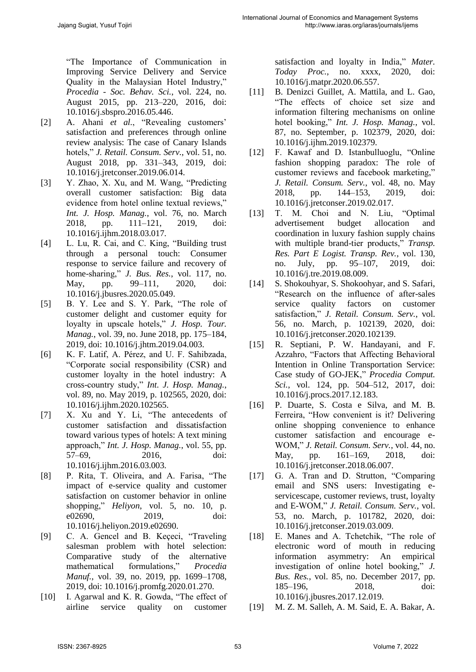"The Importance of Communication in Improving Service Delivery and Service Quality in the Malaysian Hotel Industry," *Procedia - Soc. Behav. Sci.*, vol. 224, no. August 2015, pp. 213–220, 2016, doi: 10.1016/j.sbspro.2016.05.446.

- [2] A. Ahani *et al.*, "Revealing customers' satisfaction and preferences through online review analysis: The case of Canary Islands hotels," *J. Retail. Consum. Serv.*, vol. 51, no. August 2018, pp. 331–343, 2019, doi: 10.1016/j.jretconser.2019.06.014.
- [3] Y. Zhao, X. Xu, and M. Wang, "Predicting overall customer satisfaction: Big data evidence from hotel online textual reviews," *Int. J. Hosp. Manag.*, vol. 76, no. March 2018, pp. 111–121, 2019, doi: 10.1016/j.ijhm.2018.03.017.
- [4] L. Lu, R. Cai, and C. King, "Building trust through a personal touch: Consumer response to service failure and recovery of home-sharing," *J. Bus. Res.*, vol. 117, no. May, pp. 99–111, 2020, doi: 10.1016/j.jbusres.2020.05.049.
- [5] B. Y. Lee and S. Y. Park, "The role of customer delight and customer equity for loyalty in upscale hotels," *J. Hosp. Tour. Manag.*, vol. 39, no. June 2018, pp. 175–184, 2019, doi: 10.1016/j.jhtm.2019.04.003.
- [6] K. F. Latif, A. Pérez, and U. F. Sahibzada, "Corporate social responsibility (CSR) and customer loyalty in the hotel industry: A cross-country study," *Int. J. Hosp. Manag.*, vol. 89, no. May 2019, p. 102565, 2020, doi: 10.1016/j.ijhm.2020.102565.
- [7] X. Xu and Y. Li, "The antecedents of customer satisfaction and dissatisfaction toward various types of hotels: A text mining approach," *Int. J. Hosp. Manag.*, vol. 55, pp. 57–69, 2016, doi: 10.1016/j.ijhm.2016.03.003.
- [8] P. Rita, T. Oliveira, and A. Farisa, "The impact of e-service quality and customer satisfaction on customer behavior in online shopping," *Heliyon*, vol. 5, no. 10, p. e02690, 2019, doi: 10.1016/j.heliyon.2019.e02690.
- [9] C. A. Gencel and B. Keçeci, "Traveling salesman problem with hotel selection: Comparative study of the alternative mathematical formulations," *Procedia Manuf.*, vol. 39, no. 2019, pp. 1699–1708, 2019, doi: 10.1016/j.promfg.2020.01.270.
- [10] I. Agarwal and K. R. Gowda, "The effect of airline service quality on customer

satisfaction and loyalty in India," *Mater. Today Proc.*, no. xxxx, 2020, doi: 10.1016/j.matpr.2020.06.557.

- [11] B. Denizci Guillet, A. Mattila, and L. Gao, "The effects of choice set size and information filtering mechanisms on online hotel booking," *Int. J. Hosp. Manag.*, vol. 87, no. September, p. 102379, 2020, doi: 10.1016/j.ijhm.2019.102379.
- [12] F. Kawaf and D. Istanbulluoglu, "Online fashion shopping paradox: The role of customer reviews and facebook marketing," *J. Retail. Consum. Serv.*, vol. 48, no. May 2018, pp. 144–153, 2019, doi: 10.1016/j.jretconser.2019.02.017.
- [13] T. M. Choi and N. Liu, "Optimal advertisement budget allocation and coordination in luxury fashion supply chains with multiple brand-tier products," *Transp. Res. Part E Logist. Transp. Rev.*, vol. 130, no. July, pp. 95–107, 2019, doi: 10.1016/j.tre.2019.08.009.
- [14] S. Shokouhyar, S. Shokoohyar, and S. Safari, "Research on the influence of after-sales service quality factors on customer satisfaction," *J. Retail. Consum. Serv.*, vol. 56, no. March, p. 102139, 2020, doi: 10.1016/j.jretconser.2020.102139.
- [15] R. Septiani, P. W. Handayani, and F. Azzahro, "Factors that Affecting Behavioral Intention in Online Transportation Service: Case study of GO-JEK," *Procedia Comput. Sci.*, vol. 124, pp. 504–512, 2017, doi: 10.1016/j.procs.2017.12.183.
- [16] P. Duarte, S. Costa e Silva, and M. B. Ferreira, "How convenient is it? Delivering online shopping convenience to enhance customer satisfaction and encourage e-WOM," *J. Retail. Consum. Serv.*, vol. 44, no. May, pp. 161–169, 2018, doi: 10.1016/j.jretconser.2018.06.007.
- [17] G. A. Tran and D. Strutton, "Comparing email and SNS users: Investigating eservicescape, customer reviews, trust, loyalty and E-WOM," *J. Retail. Consum. Serv.*, vol. 53, no. March, p. 101782, 2020, doi: 10.1016/j.jretconser.2019.03.009.
- [18] E. Manes and A. Tchetchik, "The role of electronic word of mouth in reducing information asymmetry: An empirical investigation of online hotel booking," *J. Bus. Res.*, vol. 85, no. December 2017, pp. 185–196, 2018, doi: 10.1016/j.jbusres.2017.12.019.
- [19] M. Z. M. Salleh, A. M. Said, E. A. Bakar, A.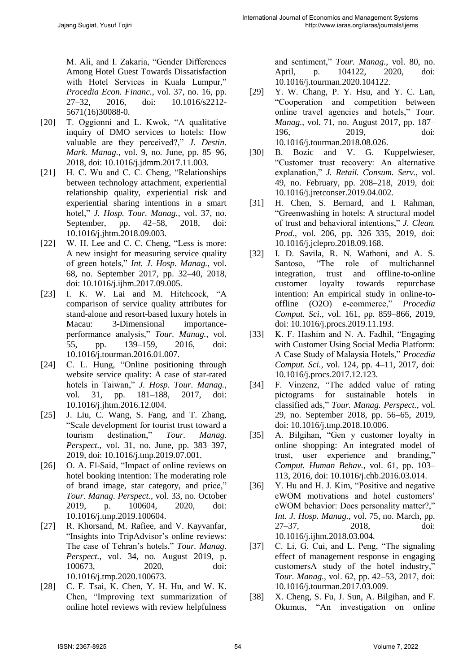M. Ali, and I. Zakaria, "Gender Differences Among Hotel Guest Towards Dissatisfaction with Hotel Services in Kuala Lumpur," *Procedia Econ. Financ.*, vol. 37, no. 16, pp. 27–32, 2016, doi: 10.1016/s2212- 5671(16)30088-0.

- [20] T. Oggionni and L. Kwok, "A qualitative inquiry of DMO services to hotels: How valuable are they perceived?," *J. Destin. Mark. Manag.*, vol. 9, no. June, pp. 85–96, 2018, doi: 10.1016/j.jdmm.2017.11.003.
- [21] H. C. Wu and C. C. Cheng, "Relationships between technology attachment, experiential relationship quality, experiential risk and experiential sharing intentions in a smart hotel," *J. Hosp. Tour. Manag.*, vol. 37, no. September, pp. 42–58, 2018, doi: 10.1016/j.jhtm.2018.09.003.
- [22] W. H. Lee and C. C. Cheng, "Less is more: A new insight for measuring service quality of green hotels," *Int. J. Hosp. Manag.*, vol. 68, no. September 2017, pp. 32–40, 2018, doi: 10.1016/j.ijhm.2017.09.005.
- [23] I. K. W. Lai and M. Hitchcock, "A comparison of service quality attributes for stand-alone and resort-based luxury hotels in Macau: 3-Dimensional importanceperformance analysis," *Tour. Manag.*, vol. 55, pp. 139–159, 2016, doi: 10.1016/j.tourman.2016.01.007.
- [24] C. L. Hung, "Online positioning through website service quality: A case of star-rated hotels in Taiwan," *J. Hosp. Tour. Manag.*, vol. 31, pp. 181–188, 2017, doi: 10.1016/j.jhtm.2016.12.004.
- [25] J. Liu, C. Wang, S. Fang, and T. Zhang, "Scale development for tourist trust toward a tourism destination," *Tour. Manag. Perspect.*, vol. 31, no. June, pp. 383–397, 2019, doi: 10.1016/j.tmp.2019.07.001.
- [26] O. A. El-Said, "Impact of online reviews on hotel booking intention: The moderating role of brand image, star category, and price," *Tour. Manag. Perspect.*, vol. 33, no. October 2019, p. 100604, 2020, doi: 10.1016/j.tmp.2019.100604.
- [27] R. Khorsand, M. Rafiee, and V. Kayvanfar, "Insights into TripAdvisor's online reviews: The case of Tehran's hotels," *Tour. Manag. Perspect.*, vol. 34, no. August 2019, p. 100673, 2020, doi: 10.1016/j.tmp.2020.100673.
- [28] C. F. Tsai, K. Chen, Y. H. Hu, and W. K. Chen, "Improving text summarization of online hotel reviews with review helpfulness

and sentiment," *Tour. Manag.*, vol. 80, no. April, p. 104122, 2020, doi: 10.1016/j.tourman.2020.104122.

- [29] Y. W. Chang, P. Y. Hsu, and Y. C. Lan, "Cooperation and competition between online travel agencies and hotels," *Tour. Manag.*, vol. 71, no. August 2017, pp. 187– 196, 2019, doi: 10.1016/j.tourman.2018.08.026.
- [30] B. Bozic and V. G. Kuppelwieser, "Customer trust recovery: An alternative explanation," *J. Retail. Consum. Serv.*, vol. 49, no. February, pp. 208–218, 2019, doi: 10.1016/j.jretconser.2019.04.002.
- [31] H. Chen, S. Bernard, and I. Rahman, "Greenwashing in hotels: A structural model of trust and behavioral intentions," *J. Clean. Prod.*, vol. 206, pp. 326–335, 2019, doi: 10.1016/j.jclepro.2018.09.168.
- [32] I. D. Savila, R. N. Wathoni, and A. S. Santoso, "The role of multichannel integration, trust and offline-to-online customer loyalty towards repurchase intention: An empirical study in online-tooffline (O2O) e-commerce," *Procedia Comput. Sci.*, vol. 161, pp. 859–866, 2019, doi: 10.1016/j.procs.2019.11.193.
- [33] K. F. Hashim and N. A. Fadhil, "Engaging with Customer Using Social Media Platform: A Case Study of Malaysia Hotels," *Procedia Comput. Sci.*, vol. 124, pp. 4–11, 2017, doi: 10.1016/j.procs.2017.12.123.
- [34] F. Vinzenz, "The added value of rating pictograms for sustainable hotels in classified ads," *Tour. Manag. Perspect.*, vol. 29, no. September 2018, pp. 56–65, 2019, doi: 10.1016/j.tmp.2018.10.006.
- [35] A. Bilgihan, "Gen y customer loyalty in online shopping: An integrated model of trust, user experience and branding," *Comput. Human Behav.*, vol. 61, pp. 103– 113, 2016, doi: 10.1016/j.chb.2016.03.014.
- [36] Y. Hu and H. J. Kim, "Positive and negative eWOM motivations and hotel customers' eWOM behavior: Does personality matter?," *Int. J. Hosp. Manag.*, vol. 75, no. March, pp. 27–37, 2018, doi: 10.1016/j.ijhm.2018.03.004.
- [37] C. Li, G. Cui, and L. Peng, "The signaling effect of management response in engaging customersA study of the hotel industry, *Tour. Manag.*, vol. 62, pp. 42–53, 2017, doi: 10.1016/j.tourman.2017.03.009.
- [38] X. Cheng, S. Fu, J. Sun, A. Bilgihan, and F. Okumus, "An investigation on online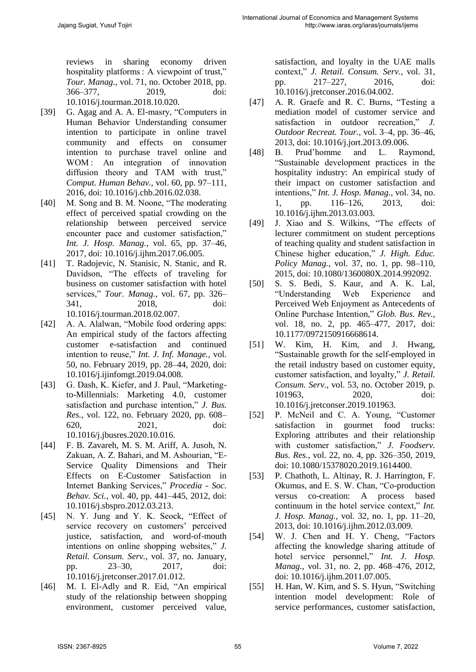reviews in sharing economy driven hospitality platforms : A viewpoint of trust," *Tour. Manag.*, vol. 71, no. October 2018, pp. 366–377, 2019, doi: 10.1016/j.tourman.2018.10.020.

- [39] G. Agag and A. A. El-masry, "Computers in Human Behavior Understanding consumer intention to participate in online travel community and effects on consumer intention to purchase travel online and WOM: An integration of innovation diffusion theory and TAM with trust," *Comput. Human Behav.*, vol. 60, pp. 97–111, 2016, doi: 10.1016/j.chb.2016.02.038.
- [40] M. Song and B. M. Noone, "The moderating effect of perceived spatial crowding on the relationship between perceived service encounter pace and customer satisfaction," *Int. J. Hosp. Manag.*, vol. 65, pp. 37–46, 2017, doi: 10.1016/j.ijhm.2017.06.005.
- [41] T. Radojevic, N. Stanisic, N. Stanic, and R. Davidson, "The effects of traveling for business on customer satisfaction with hotel services," *Tour. Manag.*, vol. 67, pp. 326– 341, 2018, doi: 10.1016/j.tourman.2018.02.007.
- [42] A. A. Alalwan, "Mobile food ordering apps: An empirical study of the factors affecting customer e-satisfaction and continued intention to reuse," *Int. J. Inf. Manage.*, vol. 50, no. February 2019, pp. 28–44, 2020, doi: 10.1016/j.ijinfomgt.2019.04.008.
- [43] G. Dash, K. Kiefer, and J. Paul, "Marketingto-Millennials: Marketing 4.0, customer satisfaction and purchase intention," *J. Bus. Res.*, vol. 122, no. February 2020, pp. 608– 620, 2021, doi: 10.1016/j.jbusres.2020.10.016.
- [44] F. B. Zavareh, M. S. M. Ariff, A. Jusoh, N. Zakuan, A. Z. Bahari, and M. Ashourian, "E-Service Quality Dimensions and Their Effects on E-Customer Satisfaction in Internet Banking Services," *Procedia - Soc. Behav. Sci.*, vol. 40, pp. 441–445, 2012, doi: 10.1016/j.sbspro.2012.03.213.
- [45] N. Y. Jung and Y. K. Seock, "Effect of service recovery on customers' perceived justice, satisfaction, and word-of-mouth intentions on online shopping websites," *J. Retail. Consum. Serv.*, vol. 37, no. January, pp. 23–30, 2017, doi: 10.1016/j.jretconser.2017.01.012.
- [46] M. I. El-Adly and R. Eid, "An empirical study of the relationship between shopping environment, customer perceived value,

satisfaction, and loyalty in the UAE malls context," *J. Retail. Consum. Serv.*, vol. 31, pp. 217–227, 2016, doi: 10.1016/j.jretconser.2016.04.002.

- [47] A. R. Graefe and R. C. Burns, "Testing a mediation model of customer service and satisfaction in outdoor recreation," *J. Outdoor Recreat. Tour.*, vol. 3–4, pp. 36–46, 2013, doi: 10.1016/j.jort.2013.09.006.
- [48] B. Prud'homme and L. Raymond, "Sustainable development practices in the hospitality industry: An empirical study of their impact on customer satisfaction and intentions," *Int. J. Hosp. Manag.*, vol. 34, no. 1, pp. 116–126, 2013, doi: 10.1016/j.ijhm.2013.03.003.
- [49] J. Xiao and S. Wilkins, "The effects of lecturer commitment on student perceptions of teaching quality and student satisfaction in Chinese higher education," *J. High. Educ. Policy Manag.*, vol. 37, no. 1, pp. 98–110, 2015, doi: 10.1080/1360080X.2014.992092.
- [50] S. S. Bedi, S. Kaur, and A. K. Lal, "Understanding Web Experience and Perceived Web Enjoyment as Antecedents of Online Purchase Intention," *Glob. Bus. Rev.*, vol. 18, no. 2, pp. 465–477, 2017, doi: 10.1177/0972150916668614.
- [51] W. Kim, H. Kim, and J. Hwang, "Sustainable growth for the self-employed in the retail industry based on customer equity, customer satisfaction, and loyalty," *J. Retail. Consum. Serv.*, vol. 53, no. October 2019, p. 101963, 2020, doi: 10.1016/j.jretconser.2019.101963.
- [52] P. McNeil and C. A. Young, "Customer satisfaction in gourmet food trucks: Exploring attributes and their relationship with customer satisfaction," *J. Foodserv. Bus. Res.*, vol. 22, no. 4, pp. 326–350, 2019, doi: 10.1080/15378020.2019.1614400.
- [53] P. Chathoth, L. Altinay, R. J. Harrington, F. Okumus, and E. S. W. Chan, "Co-production versus co-creation: A process based continuum in the hotel service context," *Int. J. Hosp. Manag.*, vol. 32, no. 1, pp. 11–20, 2013, doi: 10.1016/j.ijhm.2012.03.009.
- [54] W. J. Chen and H. Y. Cheng, "Factors affecting the knowledge sharing attitude of hotel service personnel," *Int. J. Hosp. Manag.*, vol. 31, no. 2, pp. 468–476, 2012, doi: 10.1016/j.ijhm.2011.07.005.
- [55] H. Han, W. Kim, and S. S. Hyun, "Switching intention model development: Role of service performances, customer satisfaction,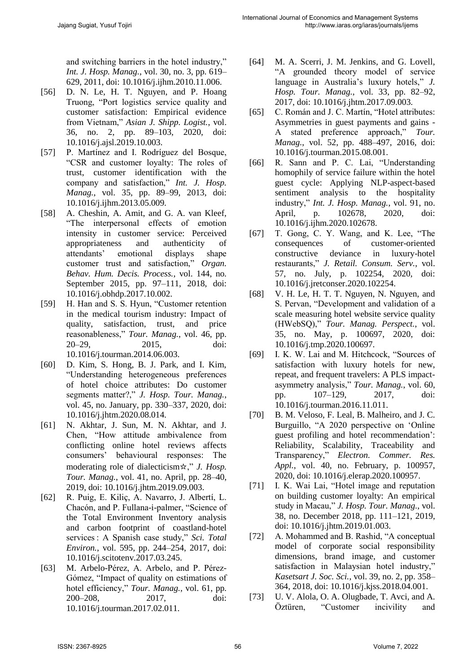and switching barriers in the hotel industry," *Int. J. Hosp. Manag.*, vol. 30, no. 3, pp. 619– 629, 2011, doi: 10.1016/j.ijhm.2010.11.006.

- [56] D. N. Le, H. T. Nguyen, and P. Hoang Truong, "Port logistics service quality and customer satisfaction: Empirical evidence from Vietnam," *Asian J. Shipp. Logist.*, vol. 36, no. 2, pp. 89–103, 2020, doi: 10.1016/j.ajsl.2019.10.003.
- [57] P. Martínez and I. Rodríguez del Bosque, "CSR and customer loyalty: The roles of trust, customer identification with the company and satisfaction," *Int. J. Hosp. Manag.*, vol. 35, pp. 89–99, 2013, doi: 10.1016/j.ijhm.2013.05.009.
- [58] A. Cheshin, A. Amit, and G. A. van Kleef, "The interpersonal effects of emotion intensity in customer service: Perceived appropriateness and authenticity of attendants' emotional displays shape customer trust and satisfaction," *Organ. Behav. Hum. Decis. Process.*, vol. 144, no. September 2015, pp. 97–111, 2018, doi: 10.1016/j.obhdp.2017.10.002.
- [59] H. Han and S. S. Hyun, "Customer retention in the medical tourism industry: Impact of quality, satisfaction, trust, and price reasonableness," *Tour. Manag.*, vol. 46, pp. 20–29, 2015, doi: 10.1016/j.tourman.2014.06.003.
- [60] D. Kim, S. Hong, B. J. Park, and I. Kim, "Understanding heterogeneous preferences of hotel choice attributes: Do customer segments matter?," *J. Hosp. Tour. Manag.*, vol. 45, no. January, pp. 330–337, 2020, doi: 10.1016/j.jhtm.2020.08.014.
- [61] N. Akhtar, J. Sun, M. N. Akhtar, and J. Chen, "How attitude ambivalence from conflicting online hotel reviews affects consumers' behavioural responses: The moderating role of dialecticism☆," *J. Hosp. Tour. Manag.*, vol. 41, no. April, pp. 28–40, 2019, doi: 10.1016/j.jhtm.2019.09.003.
- [62] R. Puig, E. Kiliç, A. Navarro, J. Albertí, L. Chacón, and P. Fullana-i-palmer, "Science of the Total Environment Inventory analysis and carbon footprint of coastland-hotel services : A Spanish case study," *Sci. Total Environ.*, vol. 595, pp. 244–254, 2017, doi: 10.1016/j.scitotenv.2017.03.245.
- [63] M. Arbelo-Pérez, A. Arbelo, and P. Pérez-Gómez, "Impact of quality on estimations of hotel efficiency," *Tour. Manag.*, vol. 61, pp. 200–208, 2017, doi: 10.1016/j.tourman.2017.02.011.
- [64] M. A. Scerri, J. M. Jenkins, and G. Lovell, "A grounded theory model of service language in Australia's luxury hotels," *J. Hosp. Tour. Manag.*, vol. 33, pp. 82–92, 2017, doi: 10.1016/j.jhtm.2017.09.003.
- [65] C. Román and J. C. Martín, "Hotel attributes: Asymmetries in guest payments and gains - A stated preference approach," *Tour. Manag.*, vol. 52, pp. 488–497, 2016, doi: 10.1016/j.tourman.2015.08.001.
- [66] R. Sann and P. C. Lai, "Understanding homophily of service failure within the hotel guest cycle: Applying NLP-aspect-based sentiment analysis to the hospitality industry," *Int. J. Hosp. Manag.*, vol. 91, no. April, p. 102678, 2020, doi: 10.1016/j.ijhm.2020.102678.
- [67] T. Gong, C. Y. Wang, and K. Lee, "The consequences of customer-oriented constructive deviance in luxury-hotel restaurants," *J. Retail. Consum. Serv.*, vol. 57, no. July, p. 102254, 2020, doi: 10.1016/j.jretconser.2020.102254.
- [68] V. H. Le, H. T. T. Nguyen, N. Nguyen, and S. Pervan, "Development and validation of a scale measuring hotel website service quality (HWebSQ)," *Tour. Manag. Perspect.*, vol. 35, no. May, p. 100697, 2020, doi: 10.1016/j.tmp.2020.100697.
- [69] I. K. W. Lai and M. Hitchcock, "Sources of satisfaction with luxury hotels for new, repeat, and frequent travelers: A PLS impactasymmetry analysis," *Tour. Manag.*, vol. 60, pp. 107–129, 2017, doi: 10.1016/j.tourman.2016.11.011.
- [70] B. M. Veloso, F. Leal, B. Malheiro, and J. C. Burguillo, "A 2020 perspective on 'Online guest profiling and hotel recommendation': Reliability, Scalability, Traceability and Transparency," *Electron. Commer. Res. Appl.*, vol. 40, no. February, p. 100957, 2020, doi: 10.1016/j.elerap.2020.100957.
- [71] I. K. Wai Lai, "Hotel image and reputation on building customer loyalty: An empirical study in Macau," *J. Hosp. Tour. Manag.*, vol. 38, no. December 2018, pp. 111–121, 2019, doi: 10.1016/j.jhtm.2019.01.003.
- [72] A. Mohammed and B. Rashid, "A conceptual model of corporate social responsibility dimensions, brand image, and customer satisfaction in Malaysian hotel industry," *Kasetsart J. Soc. Sci.*, vol. 39, no. 2, pp. 358– 364, 2018, doi: 10.1016/j.kjss.2018.04.001.
- [73] U. V. Alola, O. A. Olugbade, T. Avci, and A. Öztüren, "Customer incivility and